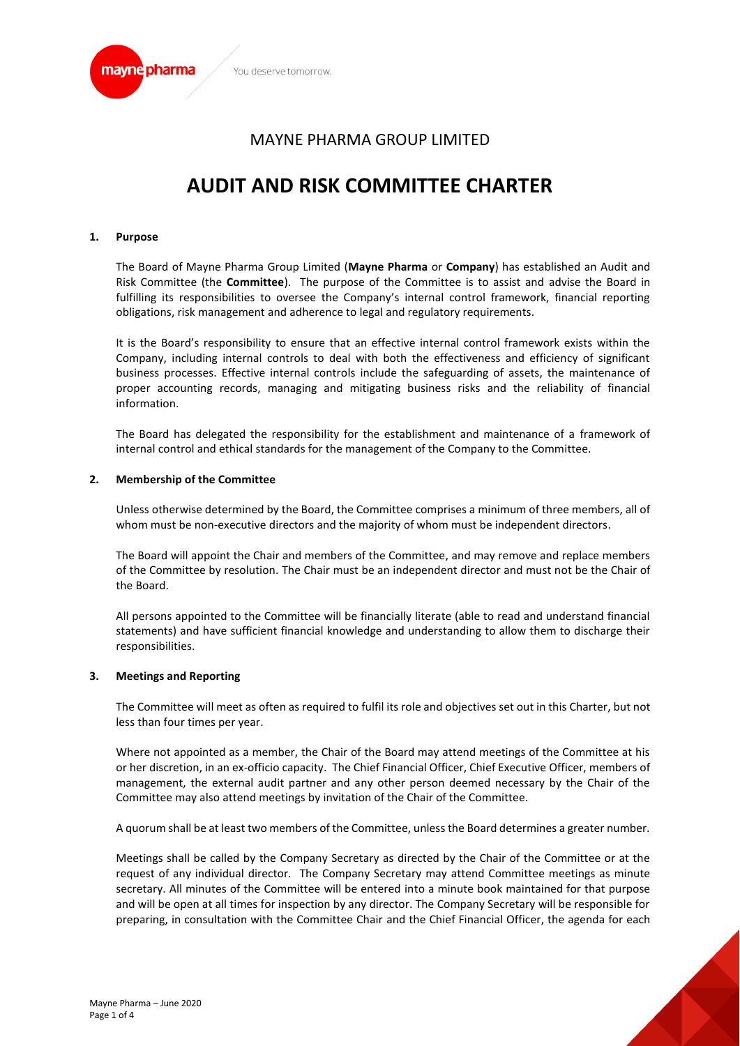

# MAYNE PHARMA GROUP LIMITED

# **AUDIT AND RISK COMMITTEE CHARTER**

#### **1. Purpose**

The Board of Mayne Pharma Group Limited (**Mayne Pharma** or **Company**) has established an Audit and Risk Committee (the **Committee**). The purpose of the Committee is to assist and advise the Board in fulfilling its responsibilities to oversee the Company's internal control framework, financial reporting obligations, risk management and adherence to legal and regulatory requirements.

It is the Board's responsibility to ensure that an effective internal control framework exists within the Company, including internal controls to deal with both the effectiveness and efficiency of significant business processes. Effective internal controls include the safeguarding of assets, the maintenance of proper accounting records, managing and mitigating business risks and the reliability of financial information.

The Board has delegated the responsibility for the establishment and maintenance of a framework of internal control and ethical standards for the management of the Company to the Committee.

#### **2. Membership of the Committee**

Unless otherwise determined by the Board, the Committee comprises a minimum of three members, all of whom must be non-executive directors and the majority of whom must be independent directors.

The Board will appoint the Chair and members of the Committee, and may remove and replace members of the Committee by resolution. The Chair must be an independent director and must not be the Chair of the Board.

All persons appointed to the Committee will be financially literate (able to read and understand financial statements) and have sufficient financial knowledge and understanding to allow them to discharge their responsibilities.

#### **3. Meetings and Reporting**

The Committee will meet as often as required to fulfil its role and objectives set out in this Charter, but not less than four times per year.

Where not appointed as a member, the Chair of the Board may attend meetings of the Committee at his or her discretion, in an ex-officio capacity. The Chief Financial Officer, Chief Executive Officer, members of management, the external audit partner and any other person deemed necessary by the Chair of the Committee may also attend meetings by invitation of the Chair of the Committee.

A quorum shall be at least two members of the Committee, unless the Board determines a greater number.

Meetings shall be called by the Company Secretary as directed by the Chair of the Committee or at the request of any individual director. The Company Secretary may attend Committee meetings as minute secretary. All minutes of the Committee will be entered into a minute book maintained for that purpose and will be open at all times for inspection by any director. The Company Secretary will be responsible for preparing, in consultation with the Committee Chair and the Chief Financial Officer, the agenda for each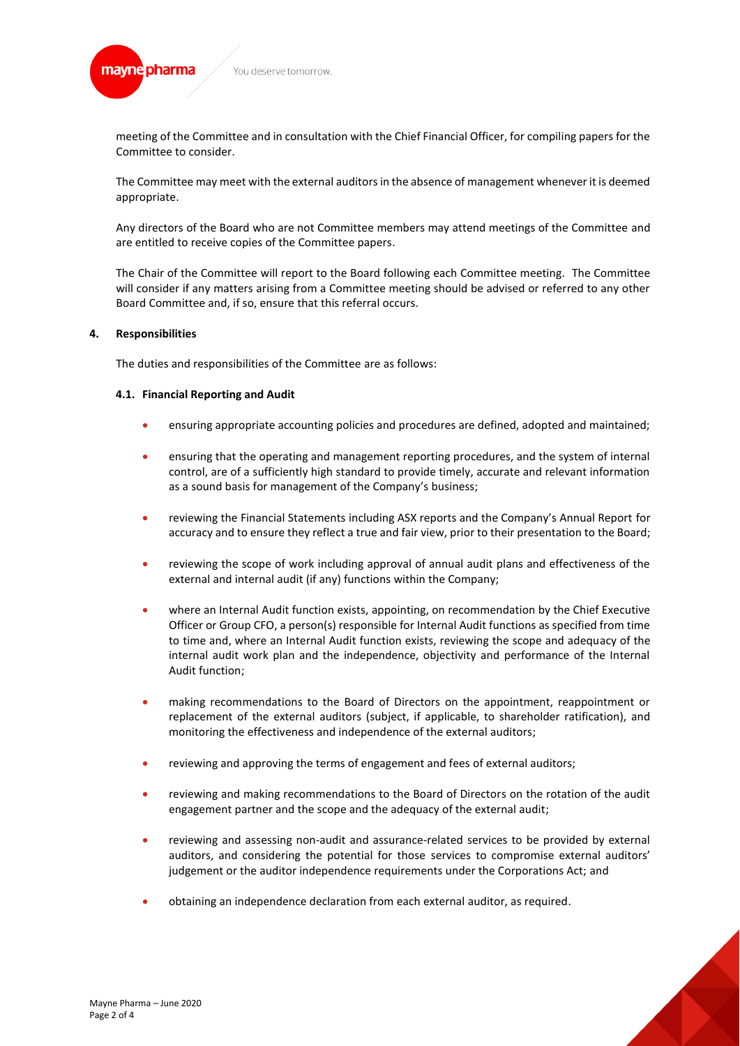mayne pharma You deserve tomorrow

> meeting of the Committee and in consultation with the Chief Financial Officer, for compiling papers for the Committee to consider.

> The Committee may meet with the external auditors in the absence of management whenever it is deemed appropriate.

> Any directors of the Board who are not Committee members may attend meetings of the Committee and are entitled to receive copies of the Committee papers.

> The Chair of the Committee will report to the Board following each Committee meeting. The Committee will consider if any matters arising from a Committee meeting should be advised or referred to any other Board Committee and, if so, ensure that this referral occurs.

# **4. Responsibilities**

The duties and responsibilities of the Committee are as follows:

# **4.1. Financial Reporting and Audit**

- ensuring appropriate accounting policies and procedures are defined, adopted and maintained;
- ensuring that the operating and management reporting procedures, and the system of internal control, are of a sufficiently high standard to provide timely, accurate and relevant information as a sound basis for management of the Company's business;
- reviewing the Financial Statements including ASX reports and the Company's Annual Report for accuracy and to ensure they reflect a true and fair view, prior to their presentation to the Board;
- reviewing the scope of work including approval of annual audit plans and effectiveness of the external and internal audit (if any) functions within the Company;
- where an Internal Audit function exists, appointing, on recommendation by the Chief Executive Officer or Group CFO, a person(s) responsible for Internal Audit functions as specified from time to time and, where an Internal Audit function exists, reviewing the scope and adequacy of the internal audit work plan and the independence, objectivity and performance of the Internal Audit function;
- making recommendations to the Board of Directors on the appointment, reappointment or replacement of the external auditors (subject, if applicable, to shareholder ratification), and monitoring the effectiveness and independence of the external auditors;
- reviewing and approving the terms of engagement and fees of external auditors;
- reviewing and making recommendations to the Board of Directors on the rotation of the audit engagement partner and the scope and the adequacy of the external audit;
- reviewing and assessing non-audit and assurance-related services to be provided by external auditors, and considering the potential for those services to compromise external auditors' judgement or the auditor independence requirements under the Corporations Act; and
- obtaining an independence declaration from each external auditor, as required.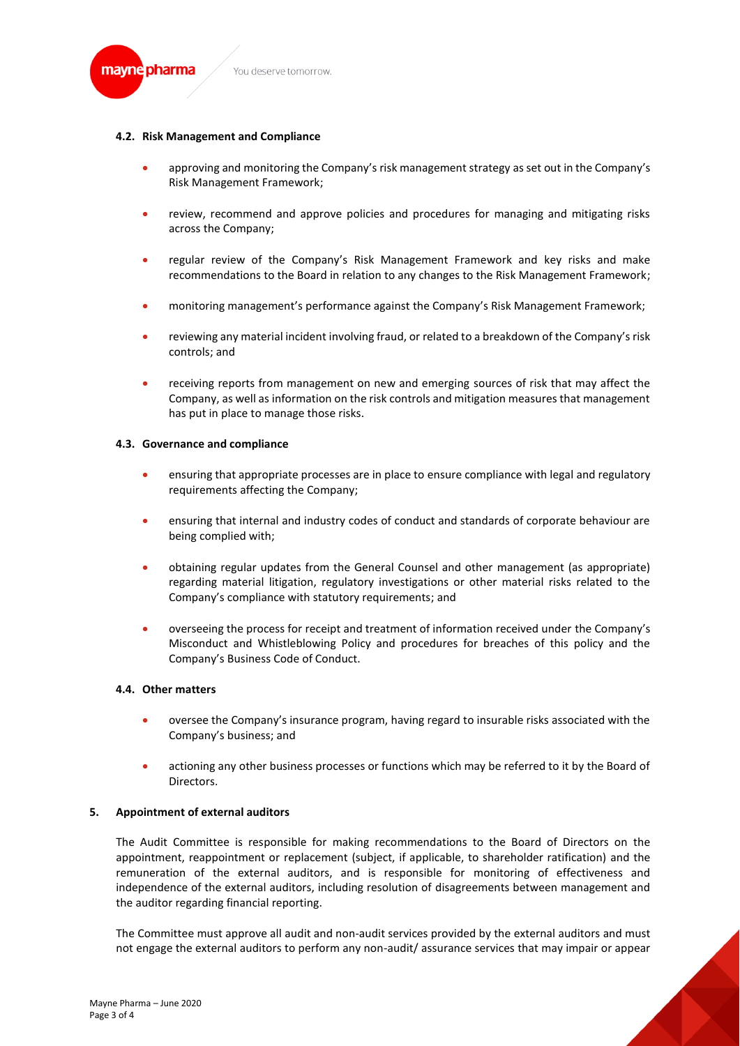

### **4.2. Risk Management and Compliance**

- approving and monitoring the Company's risk management strategy as set out in the Company's Risk Management Framework;
- review, recommend and approve policies and procedures for managing and mitigating risks across the Company;
- regular review of the Company's Risk Management Framework and key risks and make recommendations to the Board in relation to any changes to the Risk Management Framework;
- monitoring management's performance against the Company's Risk Management Framework;
- reviewing any material incident involving fraud, or related to a breakdown of the Company's risk controls; and
- receiving reports from management on new and emerging sources of risk that may affect the Company, as well as information on the risk controls and mitigation measures that management has put in place to manage those risks.

#### **4.3. Governance and compliance**

- ensuring that appropriate processes are in place to ensure compliance with legal and regulatory requirements affecting the Company;
- ensuring that internal and industry codes of conduct and standards of corporate behaviour are being complied with;
- obtaining regular updates from the General Counsel and other management (as appropriate) regarding material litigation, regulatory investigations or other material risks related to the Company's compliance with statutory requirements; and
- overseeing the process for receipt and treatment of information received under the Company's Misconduct and Whistleblowing Policy and procedures for breaches of this policy and the Company's Business Code of Conduct.

# **4.4. Other matters**

- oversee the Company's insurance program, having regard to insurable risks associated with the Company's business; and
- actioning any other business processes or functions which may be referred to it by the Board of Directors.

# **5. Appointment of external auditors**

The Audit Committee is responsible for making recommendations to the Board of Directors on the appointment, reappointment or replacement (subject, if applicable, to shareholder ratification) and the remuneration of the external auditors, and is responsible for monitoring of effectiveness and independence of the external auditors, including resolution of disagreements between management and the auditor regarding financial reporting.

The Committee must approve all audit and non-audit services provided by the external auditors and must not engage the external auditors to perform any non-audit/ assurance services that may impair or appear